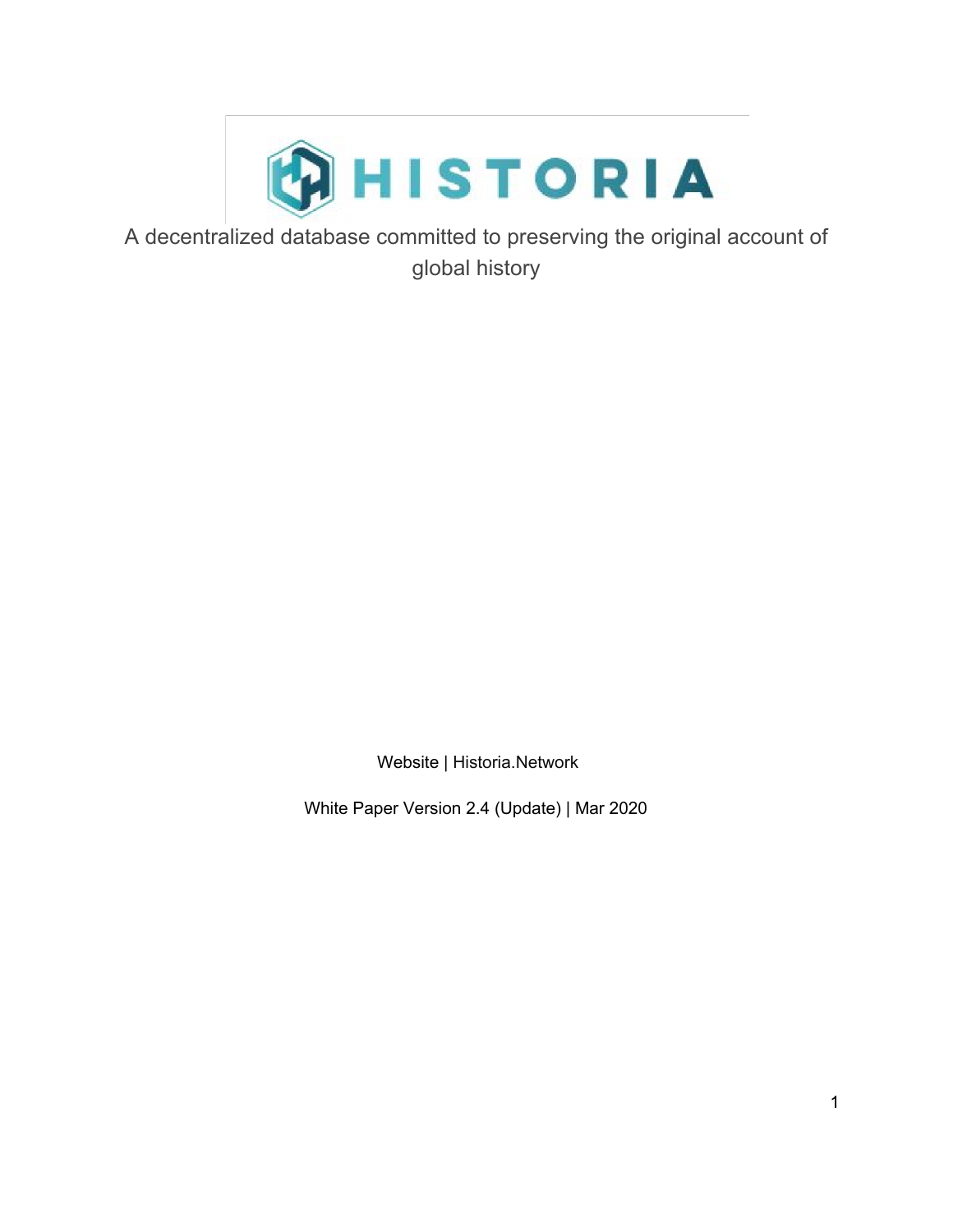

A decentralized database committed to preserving the original account of global history

Website | Historia.Network

White Paper Version 2.4 (Update) | Mar 2020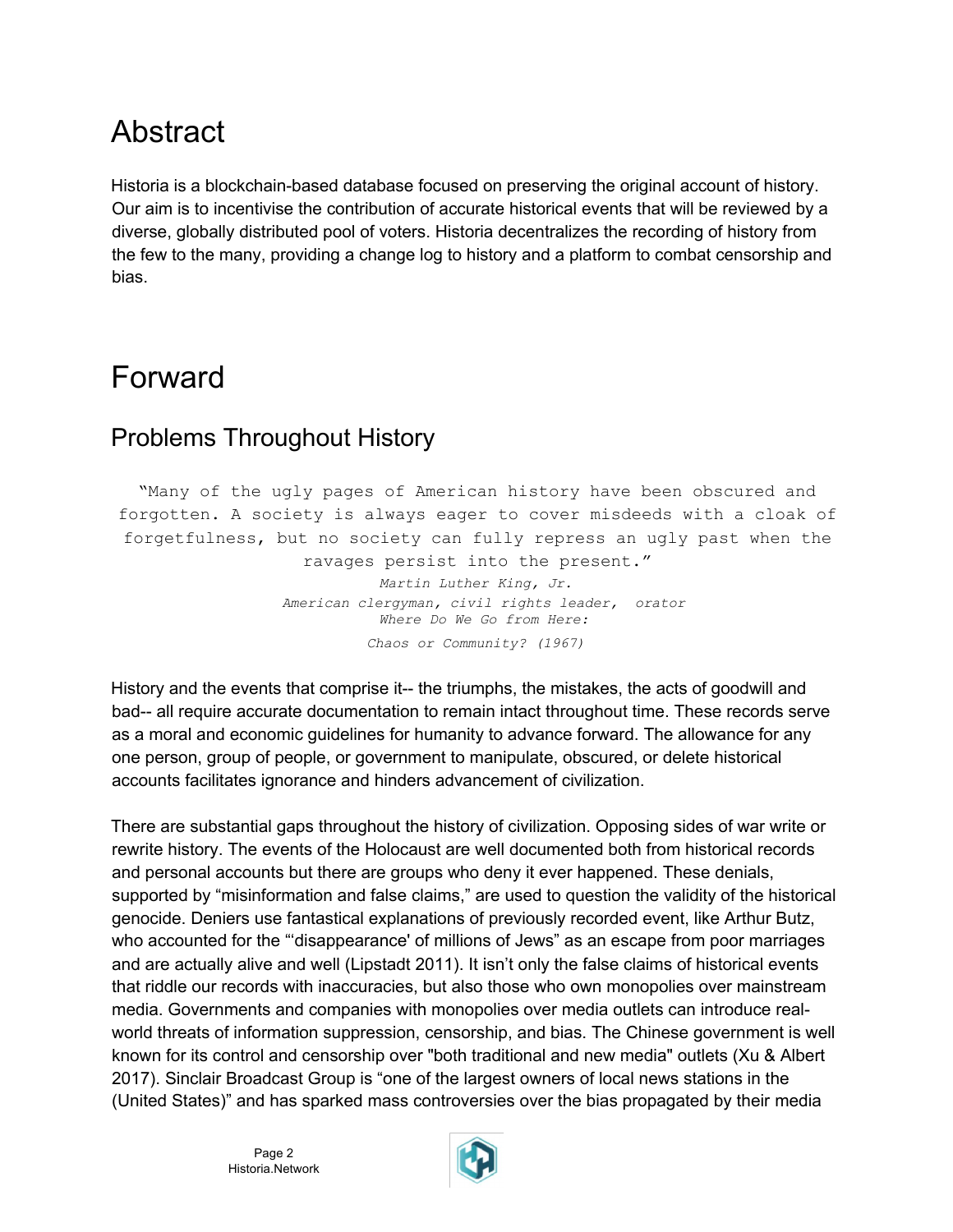# Abstract

Historia is a blockchain-based database focused on preserving the original account of history. Our aim is to incentivise the contribution of accurate historical events that will be reviewed by a diverse, globally distributed pool of voters. Historia decentralizes the recording of history from the few to the many, providing a change log to history and a platform to combat censorship and bias.

# Forward

### Problems Throughout History

"Many of the ugly pages of American history have been obscured and forgotten. A society is always eager to cover misdeeds with a cloak of forgetfulness, but no society can fully repress an ugly past when the

ravages persist into the present." *Martin Luther King, Jr. American clergyman, civil rights leader, orator Where Do We Go from Here: Chaos or Community? (1967)*

History and the events that comprise it-- the triumphs, the mistakes, the acts of goodwill and bad-- all require accurate documentation to remain intact throughout time. These records serve as a moral and economic guidelines for humanity to advance forward. The allowance for any one person, group of people, or government to manipulate, obscured, or delete historical accounts facilitates ignorance and hinders advancement of civilization.

There are substantial gaps throughout the history of civilization. Opposing sides of war write or rewrite history. The events of the Holocaust are well documented both from historical records and personal accounts but there are groups who deny it ever happened. These denials, supported by "misinformation and false claims," are used to question the validity of the historical genocide. Deniers use fantastical explanations of previously recorded event, like Arthur Butz, who accounted for the "'disappearance' of millions of Jews" as an escape from poor marriages and are actually alive and well (Lipstadt 2011). It isn't only the false claims of historical events that riddle our records with inaccuracies, but also those who own monopolies over mainstream media. Governments and companies with monopolies over media outlets can introduce realworld threats of information suppression, censorship, and bias. The Chinese government is well known for its control and censorship over "both traditional and new media" outlets (Xu & Albert 2017). Sinclair Broadcast Group is "one of the largest owners of local news stations in the (United States)" and has sparked mass controversies over the bias propagated by their media

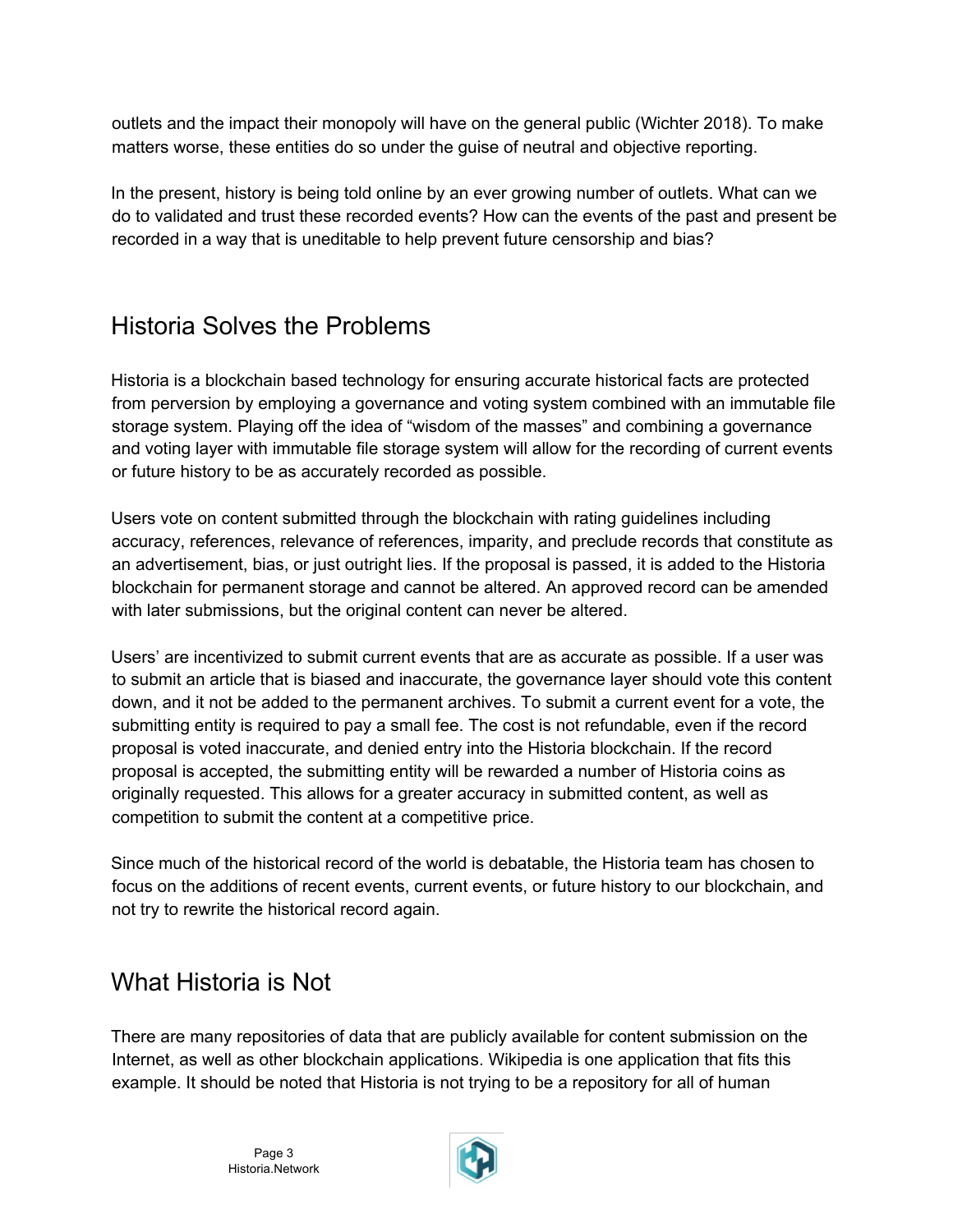outlets and the impact their monopoly will have on the general public (Wichter 2018). To make matters worse, these entities do so under the guise of neutral and objective reporting.

In the present, history is being told online by an ever growing number of outlets. What can we do to validated and trust these recorded events? How can the events of the past and present be recorded in a way that is uneditable to help prevent future censorship and bias?

### Historia Solves the Problems

Historia is a blockchain based technology for ensuring accurate historical facts are protected from perversion by employing a governance and voting system combined with an immutable file storage system. Playing off the idea of "wisdom of the masses" and combining a governance and voting layer with immutable file storage system will allow for the recording of current events or future history to be as accurately recorded as possible.

Users vote on content submitted through the blockchain with rating guidelines including accuracy, references, relevance of references, imparity, and preclude records that constitute as an advertisement, bias, or just outright lies. If the proposal is passed, it is added to the Historia blockchain for permanent storage and cannot be altered. An approved record can be amended with later submissions, but the original content can never be altered.

Users' are incentivized to submit current events that are as accurate as possible. If a user was to submit an article that is biased and inaccurate, the governance layer should vote this content down, and it not be added to the permanent archives. To submit a current event for a vote, the submitting entity is required to pay a small fee. The cost is not refundable, even if the record proposal is voted inaccurate, and denied entry into the Historia blockchain. If the record proposal is accepted, the submitting entity will be rewarded a number of Historia coins as originally requested. This allows for a greater accuracy in submitted content, as well as competition to submit the content at a competitive price.

Since much of the historical record of the world is debatable, the Historia team has chosen to focus on the additions of recent events, current events, or future history to our blockchain, and not try to rewrite the historical record again.

#### What Historia is Not

There are many repositories of data that are publicly available for content submission on the Internet, as well as other blockchain applications. Wikipedia is one application that fits this example. It should be noted that Historia is not trying to be a repository for all of human

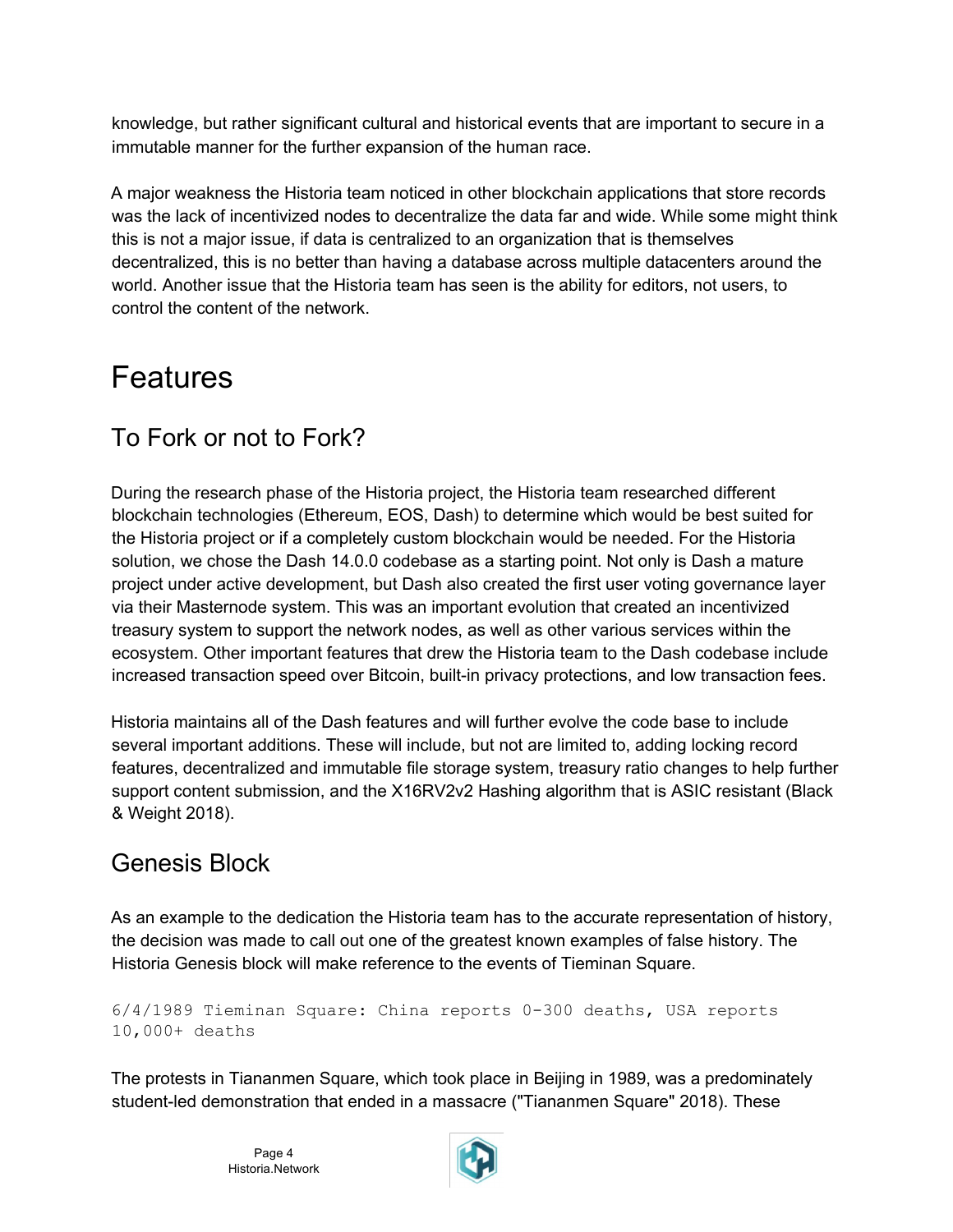knowledge, but rather significant cultural and historical events that are important to secure in a immutable manner for the further expansion of the human race.

A major weakness the Historia team noticed in other blockchain applications that store records was the lack of incentivized nodes to decentralize the data far and wide. While some might think this is not a major issue, if data is centralized to an organization that is themselves decentralized, this is no better than having a database across multiple datacenters around the world. Another issue that the Historia team has seen is the ability for editors, not users, to control the content of the network.

# Features

## To Fork or not to Fork?

During the research phase of the Historia project, the Historia team researched different blockchain technologies (Ethereum, EOS, Dash) to determine which would be best suited for the Historia project or if a completely custom blockchain would be needed. For the Historia solution, we chose the Dash 14.0.0 codebase as a starting point. Not only is Dash a mature project under active development, but Dash also created the first user voting governance layer via their Masternode system. This was an important evolution that created an incentivized treasury system to support the network nodes, as well as other various services within the ecosystem. Other important features that drew the Historia team to the Dash codebase include increased transaction speed over Bitcoin, built-in privacy protections, and low transaction fees.

Historia maintains all of the Dash features and will further evolve the code base to include several important additions. These will include, but not are limited to, adding locking record features, decentralized and immutable file storage system, treasury ratio changes to help further support content submission, and the X16RV2v2 Hashing algorithm that is ASIC resistant (Black & Weight 2018).

### Genesis Block

As an example to the dedication the Historia team has to the accurate representation of history, the decision was made to call out one of the greatest known examples of false history. The Historia Genesis block will make reference to the events of Tieminan Square.

#### 6/4/1989 Tieminan Square: China reports 0-300 deaths, USA reports 10,000+ deaths

The protests in Tiananmen Square, which took place in Beijing in 1989, was a predominately student-led demonstration that ended in a massacre ("Tiananmen Square" 2018). These

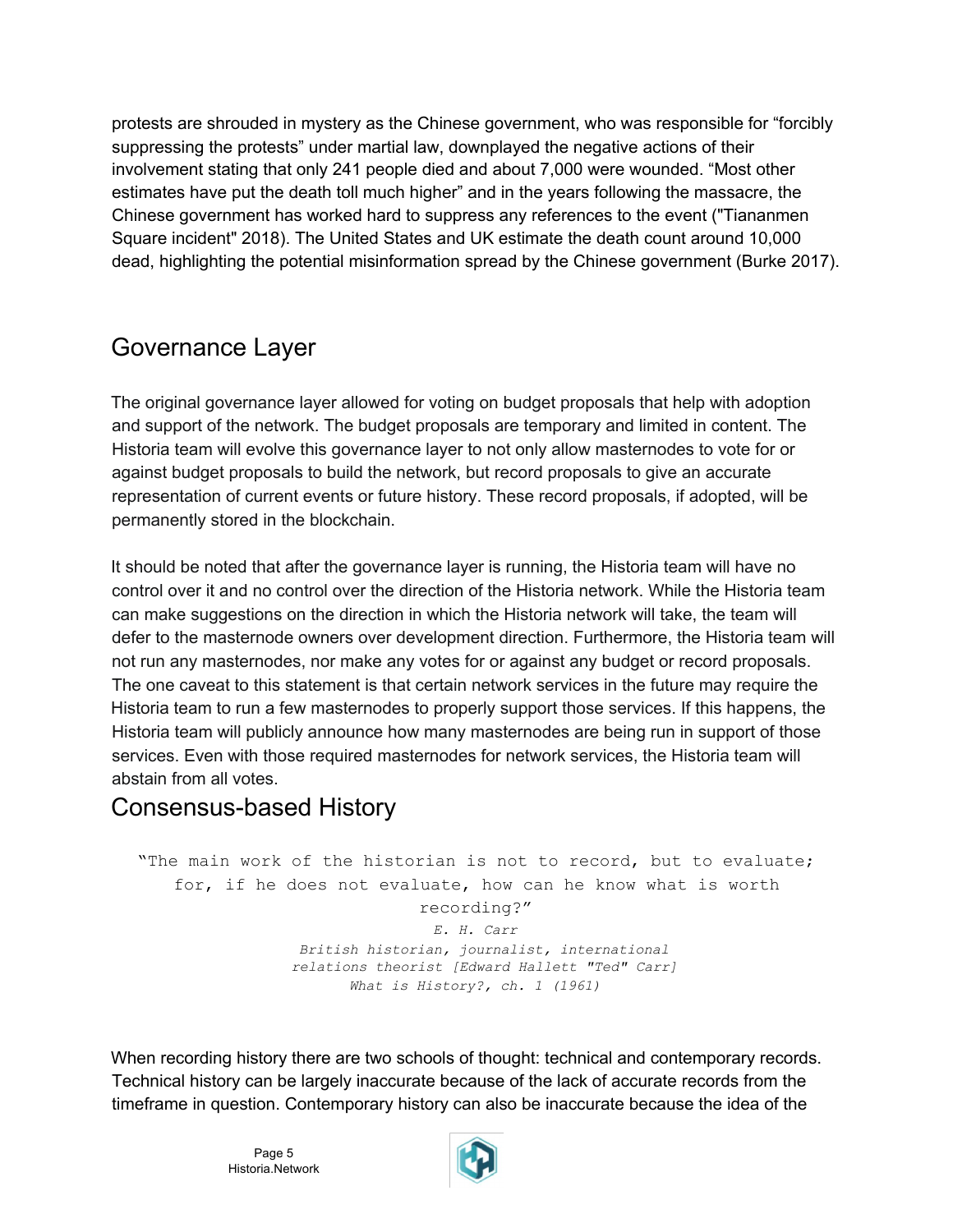protests are shrouded in mystery as the Chinese government, who was responsible for "forcibly suppressing the protests" under martial law, downplayed the negative actions of their involvement stating that only 241 people died and about 7,000 were wounded. "Most other estimates have put the death toll much higher" and in the years following the massacre, the Chinese government has worked hard to suppress any references to the event ("Tiananmen Square incident" 2018). The United States and UK estimate the death count around 10,000 dead, highlighting the potential misinformation spread by the Chinese government (Burke 2017).

### Governance Layer

The original governance layer allowed for voting on budget proposals that help with adoption and support of the network. The budget proposals are temporary and limited in content. The Historia team will evolve this governance layer to not only allow masternodes to vote for or against budget proposals to build the network, but record proposals to give an accurate representation of current events or future history. These record proposals, if adopted, will be permanently stored in the blockchain.

It should be noted that after the governance layer is running, the Historia team will have no control over it and no control over the direction of the Historia network. While the Historia team can make suggestions on the direction in which the Historia network will take, the team will defer to the masternode owners over development direction. Furthermore, the Historia team will not run any masternodes, nor make any votes for or against any budget or record proposals. The one caveat to this statement is that certain network services in the future may require the Historia team to run a few masternodes to properly support those services. If this happens, the Historia team will publicly announce how many masternodes are being run in support of those services. Even with those required masternodes for network services, the Historia team will abstain from all votes.

#### Consensus-based History

"The main work of the historian is not to record, but to evaluate; for, if he does not evaluate, how can he know what is worth recording?" *E. H. Carr British historian, journalist, international relations theorist [Edward Hallett "Ted" Carr] What is History?, ch. 1 (1961)* 

When recording history there are two schools of thought: technical and contemporary records. Technical history can be largely inaccurate because of the lack of accurate records from the timeframe in question. Contemporary history can also be inaccurate because the idea of the

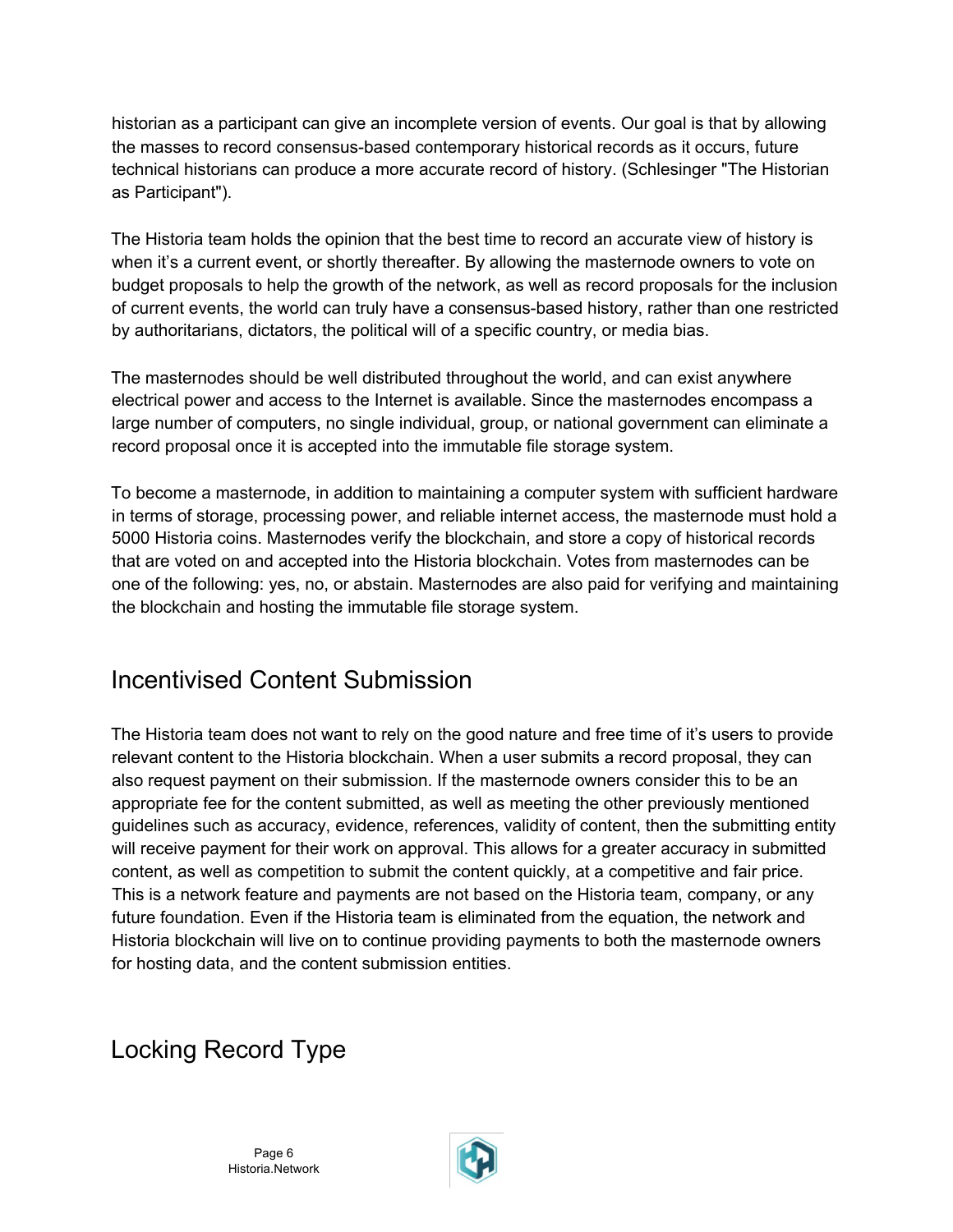historian as a participant can give an incomplete version of events. Our goal is that by allowing the masses to record consensus-based contemporary historical records as it occurs, future technical historians can produce a more accurate record of history. (Schlesinger "The Historian as Participant").

The Historia team holds the opinion that the best time to record an accurate view of history is when it's a current event, or shortly thereafter. By allowing the masternode owners to vote on budget proposals to help the growth of the network, as well as record proposals for the inclusion of current events, the world can truly have a consensus-based history, rather than one restricted by authoritarians, dictators, the political will of a specific country, or media bias.

The masternodes should be well distributed throughout the world, and can exist anywhere electrical power and access to the Internet is available. Since the masternodes encompass a large number of computers, no single individual, group, or national government can eliminate a record proposal once it is accepted into the immutable file storage system.

To become a masternode, in addition to maintaining a computer system with sufficient hardware in terms of storage, processing power, and reliable internet access, the masternode must hold a 5000 Historia coins. Masternodes verify the blockchain, and store a copy of historical records that are voted on and accepted into the Historia blockchain. Votes from masternodes can be one of the following: yes, no, or abstain. Masternodes are also paid for verifying and maintaining the blockchain and hosting the immutable file storage system.

#### Incentivised Content Submission

The Historia team does not want to rely on the good nature and free time of it's users to provide relevant content to the Historia blockchain. When a user submits a record proposal, they can also request payment on their submission. If the masternode owners consider this to be an appropriate fee for the content submitted, as well as meeting the other previously mentioned guidelines such as accuracy, evidence, references, validity of content, then the submitting entity will receive payment for their work on approval. This allows for a greater accuracy in submitted content, as well as competition to submit the content quickly, at a competitive and fair price. This is a network feature and payments are not based on the Historia team, company, or any future foundation. Even if the Historia team is eliminated from the equation, the network and Historia blockchain will live on to continue providing payments to both the masternode owners for hosting data, and the content submission entities.

### Locking Record Type

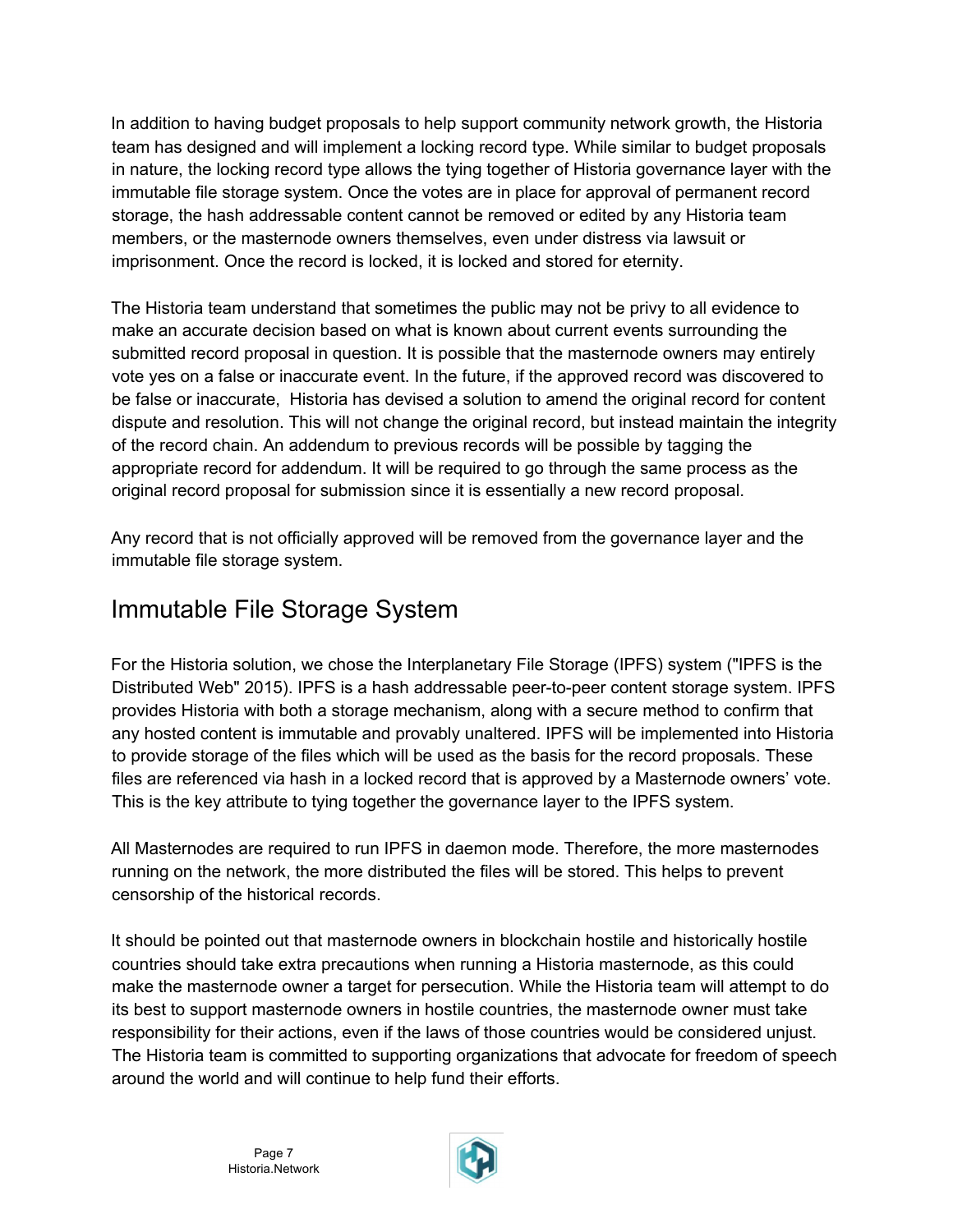In addition to having budget proposals to help support community network growth, the Historia team has designed and will implement a locking record type. While similar to budget proposals in nature, the locking record type allows the tying together of Historia governance layer with the immutable file storage system. Once the votes are in place for approval of permanent record storage, the hash addressable content cannot be removed or edited by any Historia team members, or the masternode owners themselves, even under distress via lawsuit or imprisonment. Once the record is locked, it is locked and stored for eternity.

The Historia team understand that sometimes the public may not be privy to all evidence to make an accurate decision based on what is known about current events surrounding the submitted record proposal in question. It is possible that the masternode owners may entirely vote yes on a false or inaccurate event. In the future, if the approved record was discovered to be false or inaccurate, Historia has devised a solution to amend the original record for content dispute and resolution. This will not change the original record, but instead maintain the integrity of the record chain. An addendum to previous records will be possible by tagging the appropriate record for addendum. It will be required to go through the same process as the original record proposal for submission since it is essentially a new record proposal.

Any record that is not officially approved will be removed from the governance layer and the immutable file storage system.

### Immutable File Storage System

For the Historia solution, we chose the Interplanetary File Storage (IPFS) system ("IPFS is the Distributed Web" 2015). IPFS is a hash addressable peer-to-peer content storage system. IPFS provides Historia with both a storage mechanism, along with a secure method to confirm that any hosted content is immutable and provably unaltered. IPFS will be implemented into Historia to provide storage of the files which will be used as the basis for the record proposals. These files are referenced via hash in a locked record that is approved by a Masternode owners' vote. This is the key attribute to tying together the governance layer to the IPFS system.

All Masternodes are required to run IPFS in daemon mode. Therefore, the more masternodes running on the network, the more distributed the files will be stored. This helps to prevent censorship of the historical records.

It should be pointed out that masternode owners in blockchain hostile and historically hostile countries should take extra precautions when running a Historia masternode, as this could make the masternode owner a target for persecution. While the Historia team will attempt to do its best to support masternode owners in hostile countries, the masternode owner must take responsibility for their actions, even if the laws of those countries would be considered unjust. The Historia team is committed to supporting organizations that advocate for freedom of speech around the world and will continue to help fund their efforts.

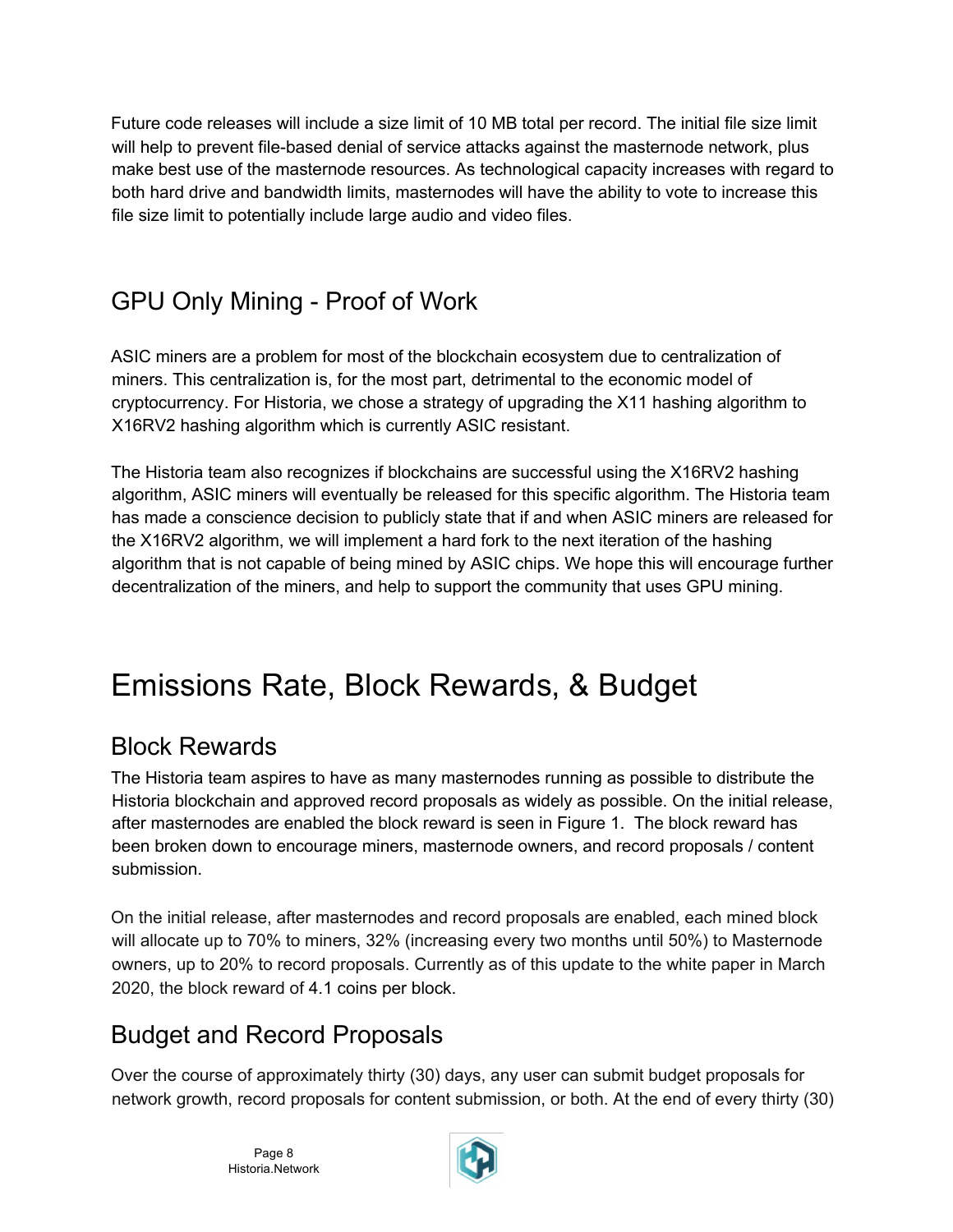Future code releases will include a size limit of 10 MB total per record. The initial file size limit will help to prevent file-based denial of service attacks against the masternode network, plus make best use of the masternode resources. As technological capacity increases with regard to both hard drive and bandwidth limits, masternodes will have the ability to vote to increase this file size limit to potentially include large audio and video files.

# GPU Only Mining - Proof of Work

ASIC miners are a problem for most of the blockchain ecosystem due to centralization of miners. This centralization is, for the most part, detrimental to the economic model of cryptocurrency. For Historia, we chose a strategy of upgrading the X11 hashing algorithm to X16RV2 hashing algorithm which is currently ASIC resistant.

The Historia team also recognizes if blockchains are successful using the X16RV2 hashing algorithm, ASIC miners will eventually be released for this specific algorithm. The Historia team has made a conscience decision to publicly state that if and when ASIC miners are released for the X16RV2 algorithm, we will implement a hard fork to the next iteration of the hashing algorithm that is not capable of being mined by ASIC chips. We hope this will encourage further decentralization of the miners, and help to support the community that uses GPU mining.

# Emissions Rate, Block Rewards, & Budget

### Block Rewards

The Historia team aspires to have as many masternodes running as possible to distribute the Historia blockchain and approved record proposals as widely as possible. On the initial release, after masternodes are enabled the block reward is seen in Figure 1. The block reward has been broken down to encourage miners, masternode owners, and record proposals / content submission.

On the initial release, after masternodes and record proposals are enabled, each mined block will allocate up to 70% to miners, 32% (increasing every two months until 50%) to Masternode owners, up to 20% to record proposals. Currently as of this update to the white paper in March 2020, the block reward of 4.1 coins per block.

# Budget and Record Proposals

Over the course of approximately thirty (30) days, any user can submit budget proposals for network growth, record proposals for content submission, or both. At the end of every thirty (30)

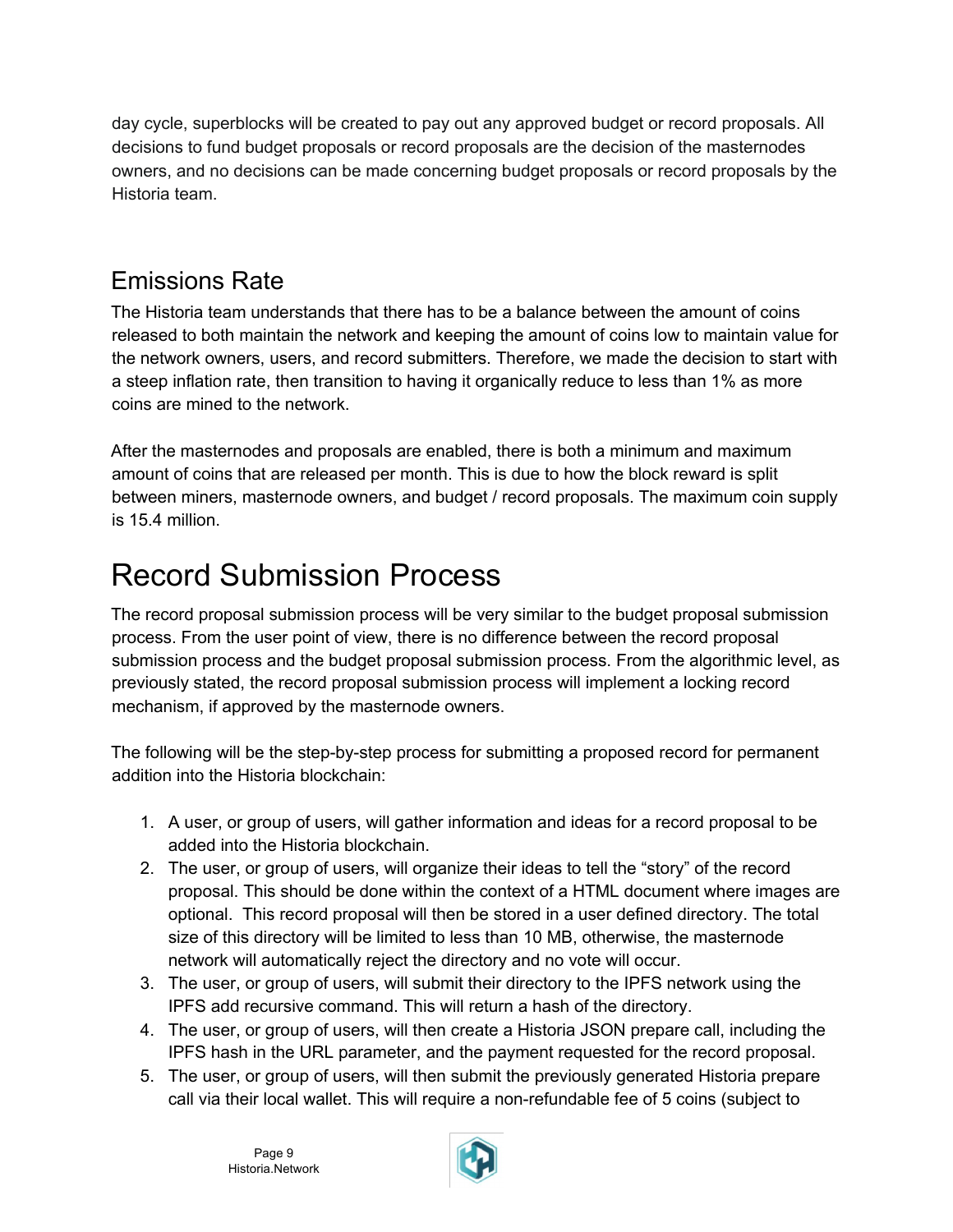day cycle, superblocks will be created to pay out any approved budget or record proposals. All decisions to fund budget proposals or record proposals are the decision of the masternodes owners, and no decisions can be made concerning budget proposals or record proposals by the Historia team.

### Emissions Rate

The Historia team understands that there has to be a balance between the amount of coins released to both maintain the network and keeping the amount of coins low to maintain value for the network owners, users, and record submitters. Therefore, we made the decision to start with a steep inflation rate, then transition to having it organically reduce to less than 1% as more coins are mined to the network.

After the masternodes and proposals are enabled, there is both a minimum and maximum amount of coins that are released per month. This is due to how the block reward is split between miners, masternode owners, and budget / record proposals. The maximum coin supply is 15.4 million.

# Record Submission Process

The record proposal submission process will be very similar to the budget proposal submission process. From the user point of view, there is no difference between the record proposal submission process and the budget proposal submission process. From the algorithmic level, as previously stated, the record proposal submission process will implement a locking record mechanism, if approved by the masternode owners.

The following will be the step-by-step process for submitting a proposed record for permanent addition into the Historia blockchain:

- 1. A user, or group of users, will gather information and ideas for a record proposal to be added into the Historia blockchain.
- 2. The user, or group of users, will organize their ideas to tell the "story" of the record proposal. This should be done within the context of a HTML document where images are optional. This record proposal will then be stored in a user defined directory. The total size of this directory will be limited to less than 10 MB, otherwise, the masternode network will automatically reject the directory and no vote will occur.
- 3. The user, or group of users, will submit their directory to the IPFS network using the IPFS add recursive command. This will return a hash of the directory.
- 4. The user, or group of users, will then create a Historia JSON prepare call, including the IPFS hash in the URL parameter, and the payment requested for the record proposal.
- 5. The user, or group of users, will then submit the previously generated Historia prepare call via their local wallet. This will require a non-refundable fee of 5 coins (subject to

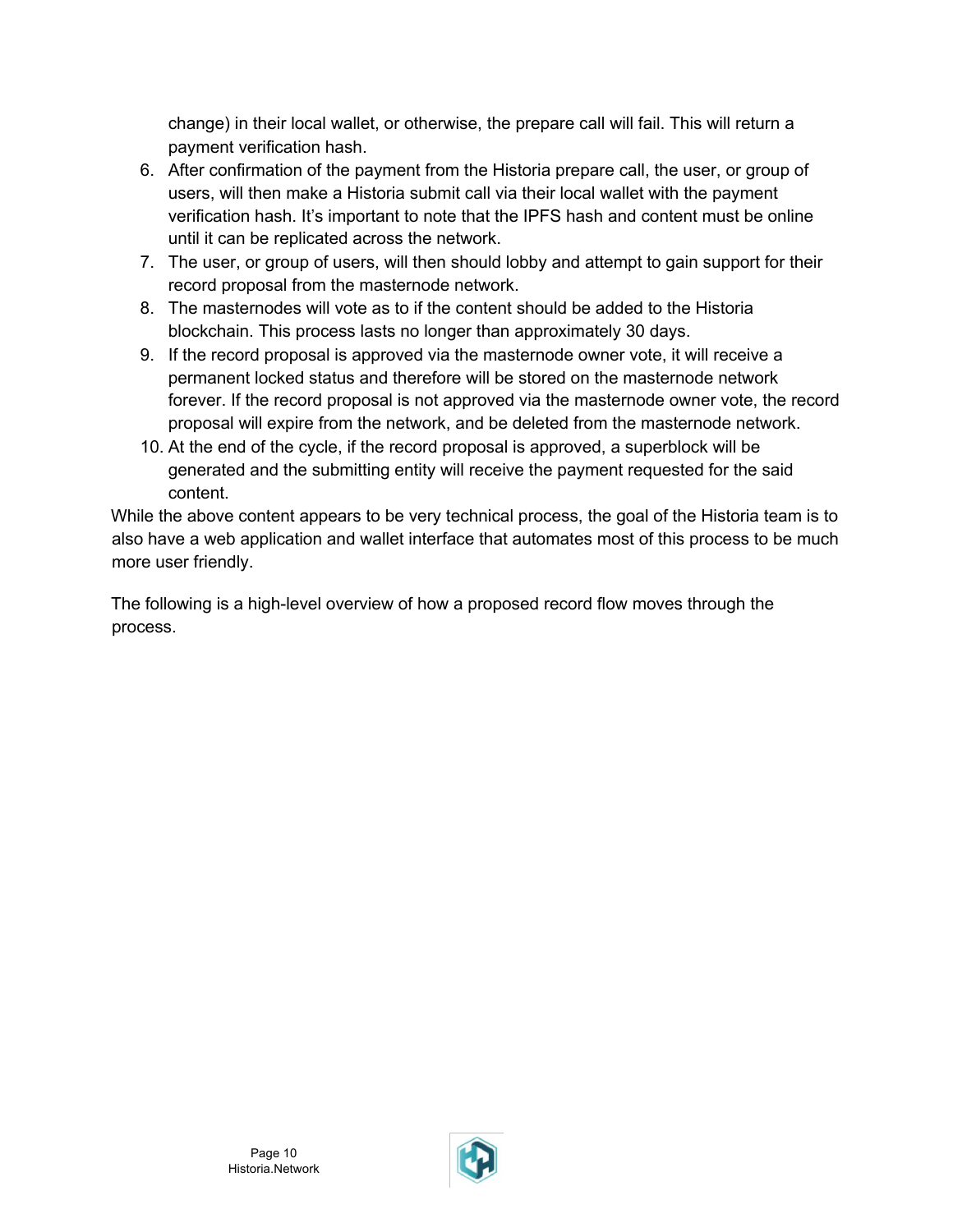change) in their local wallet, or otherwise, the prepare call will fail. This will return a payment verification hash.

- 6. After confirmation of the payment from the Historia prepare call, the user, or group of users, will then make a Historia submit call via their local wallet with the payment verification hash. It's important to note that the IPFS hash and content must be online until it can be replicated across the network.
- 7. The user, or group of users, will then should lobby and attempt to gain support for their record proposal from the masternode network.
- 8. The masternodes will vote as to if the content should be added to the Historia blockchain. This process lasts no longer than approximately 30 days.
- 9. If the record proposal is approved via the masternode owner vote, it will receive a permanent locked status and therefore will be stored on the masternode network forever. If the record proposal is not approved via the masternode owner vote, the record proposal will expire from the network, and be deleted from the masternode network.
- 10. At the end of the cycle, if the record proposal is approved, a superblock will be generated and the submitting entity will receive the payment requested for the said content.

While the above content appears to be very technical process, the goal of the Historia team is to also have a web application and wallet interface that automates most of this process to be much more user friendly.

The following is a high-level overview of how a proposed record flow moves through the process.

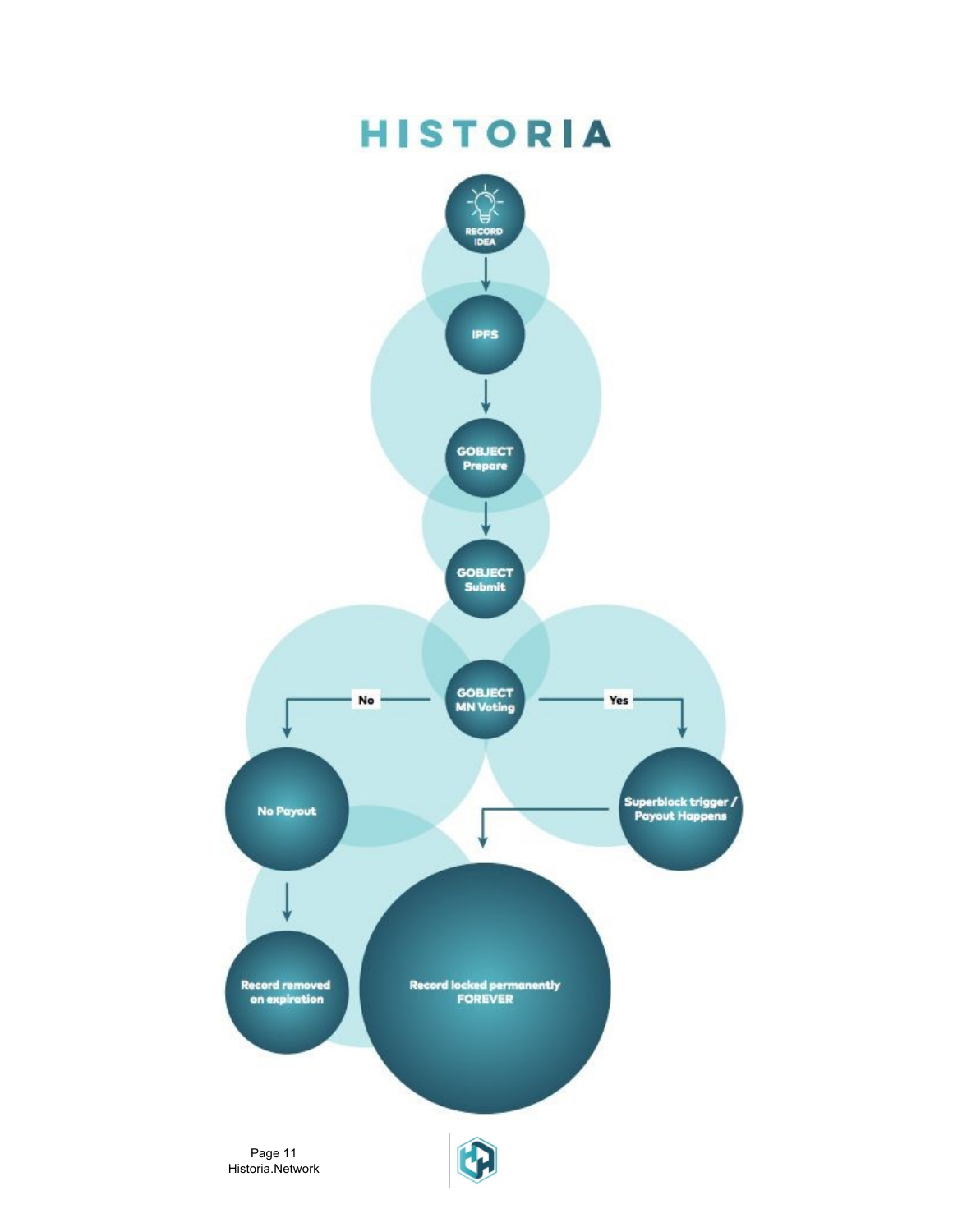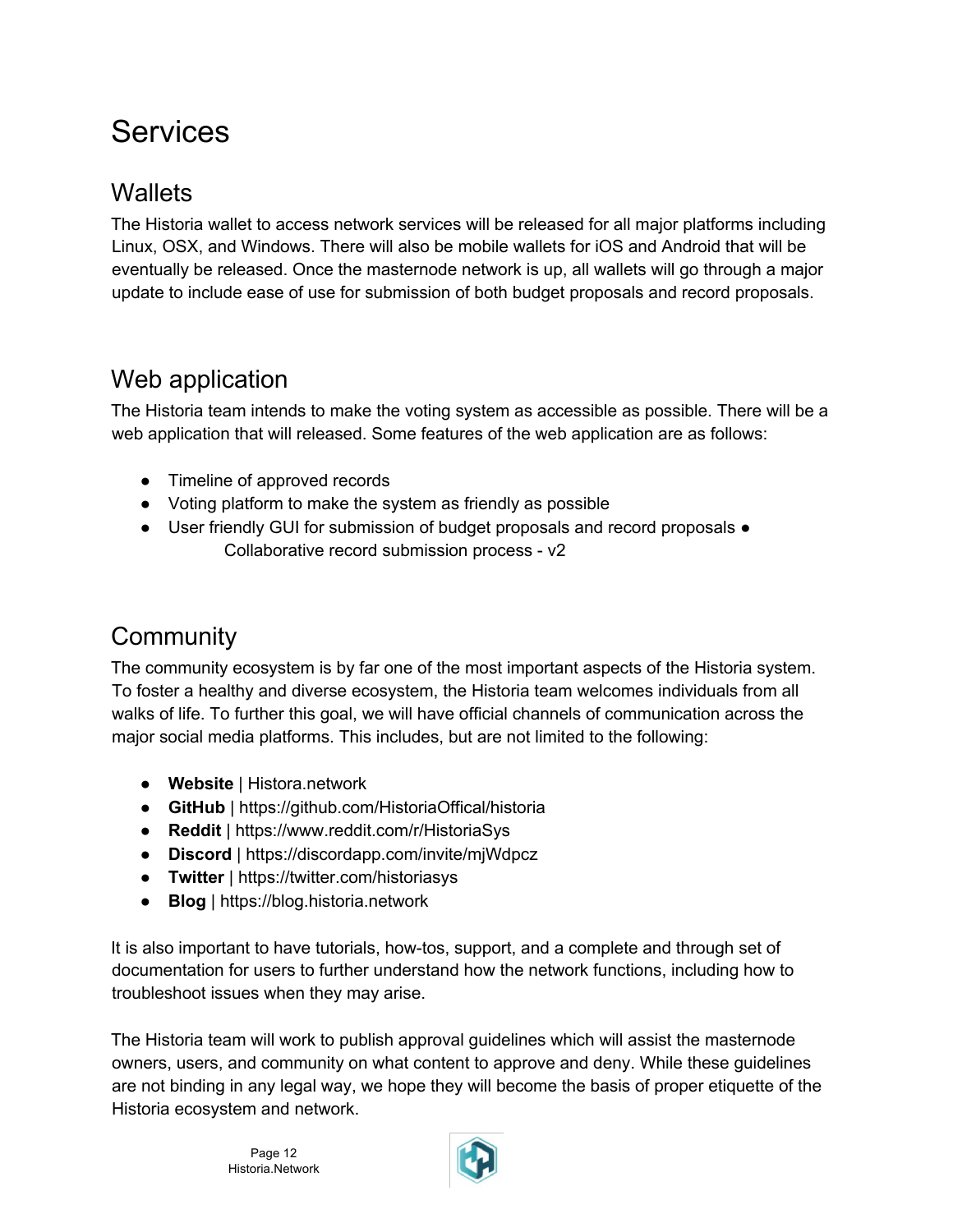# Services

#### **Wallets**

The Historia wallet to access network services will be released for all major platforms including Linux, OSX, and Windows. There will also be mobile wallets for iOS and Android that will be eventually be released. Once the masternode network is up, all wallets will go through a major update to include ease of use for submission of both budget proposals and record proposals.

### Web application

The Historia team intends to make the voting system as accessible as possible. There will be a web application that will released. Some features of the web application are as follows:

- Timeline of approved records
- Voting platform to make the system as friendly as possible
- User friendly GUI for submission of budget proposals and record proposals Collaborative record submission process - v2

# **Community**

The community ecosystem is by far one of the most important aspects of the Historia system. To foster a healthy and diverse ecosystem, the Historia team welcomes individuals from all walks of life. To further this goal, we will have official channels of communication across the major social media platforms. This includes, but are not limited to the following:

- **Website** | Histora.network
- **GitHub** | https://github.com/HistoriaOffical/historia
- **Reddit** | https://www.reddit.com/r/HistoriaSys
- **Discord** | https://discordapp.com/invite/mjWdpcz
- **Twitter** | https://twitter.com/historiasys
- **Blog** | https://blog.historia.network

It is also important to have tutorials, how-tos, support, and a complete and through set of documentation for users to further understand how the network functions, including how to troubleshoot issues when they may arise.

The Historia team will work to publish approval guidelines which will assist the masternode owners, users, and community on what content to approve and deny. While these guidelines are not binding in any legal way, we hope they will become the basis of proper etiquette of the Historia ecosystem and network.

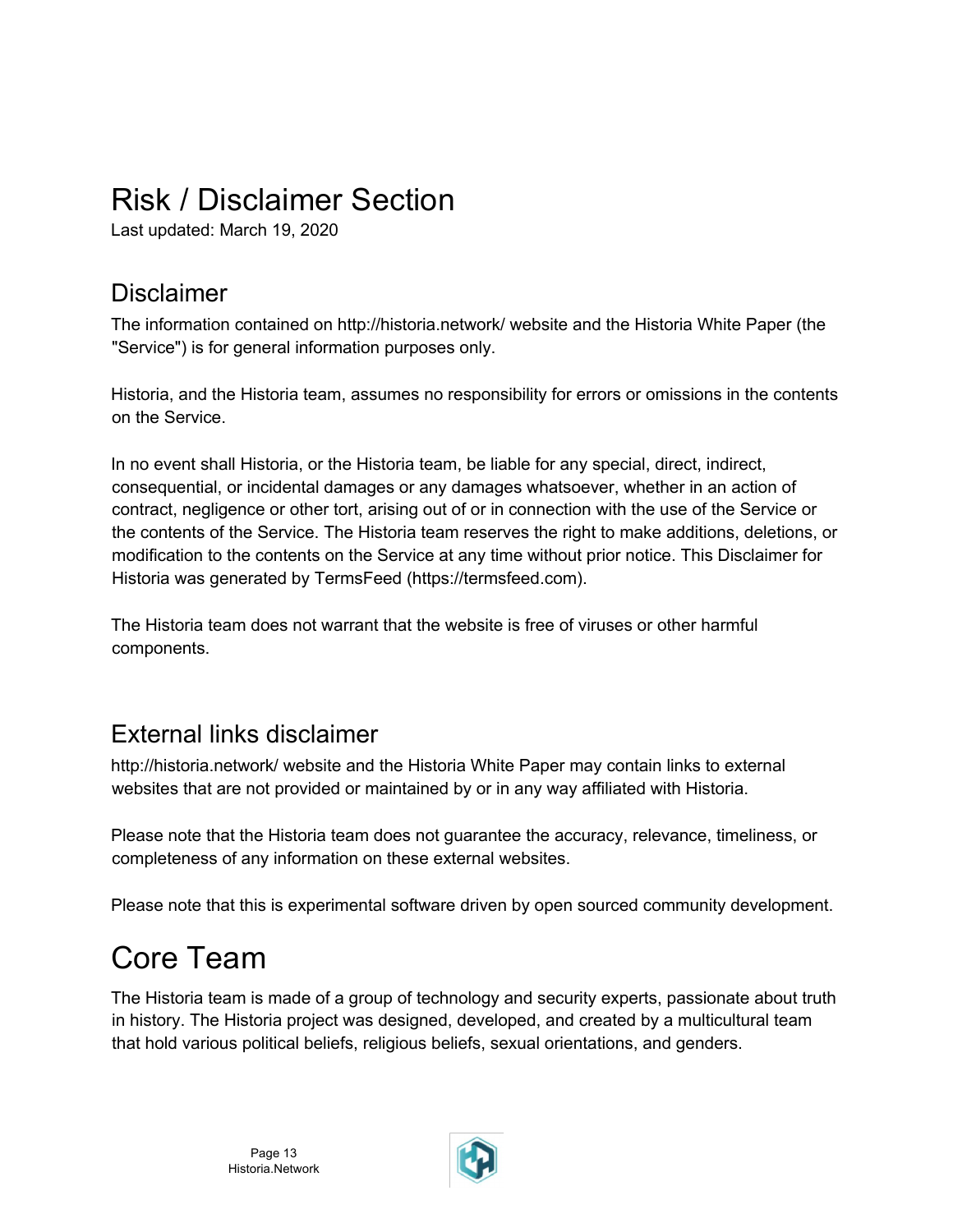# Risk / Disclaimer Section

Last updated: March 19, 2020

#### Disclaimer

The information contained on http://historia.network/ website and the Historia White Paper (the "Service") is for general information purposes only.

Historia, and the Historia team, assumes no responsibility for errors or omissions in the contents on the Service.

In no event shall Historia, or the Historia team, be liable for any special, direct, indirect, consequential, or incidental damages or any damages whatsoever, whether in an action of contract, negligence or other tort, arising out of or in connection with the use of the Service or the contents of the Service. The Historia team reserves the right to make additions, deletions, or modification to the contents on the Service at any time without prior notice. This Disclaimer for Historia was generated by TermsFeed (https://termsfeed.com).

The Historia team does not warrant that the website is free of viruses or other harmful components.

### External links disclaimer

http://historia.network/ website and the Historia White Paper may contain links to external websites that are not provided or maintained by or in any way affiliated with Historia.

Please note that the Historia team does not guarantee the accuracy, relevance, timeliness, or completeness of any information on these external websites.

Please note that this is experimental software driven by open sourced community development.

# Core Team

The Historia team is made of a group of technology and security experts, passionate about truth in history. The Historia project was designed, developed, and created by a multicultural team that hold various political beliefs, religious beliefs, sexual orientations, and genders.

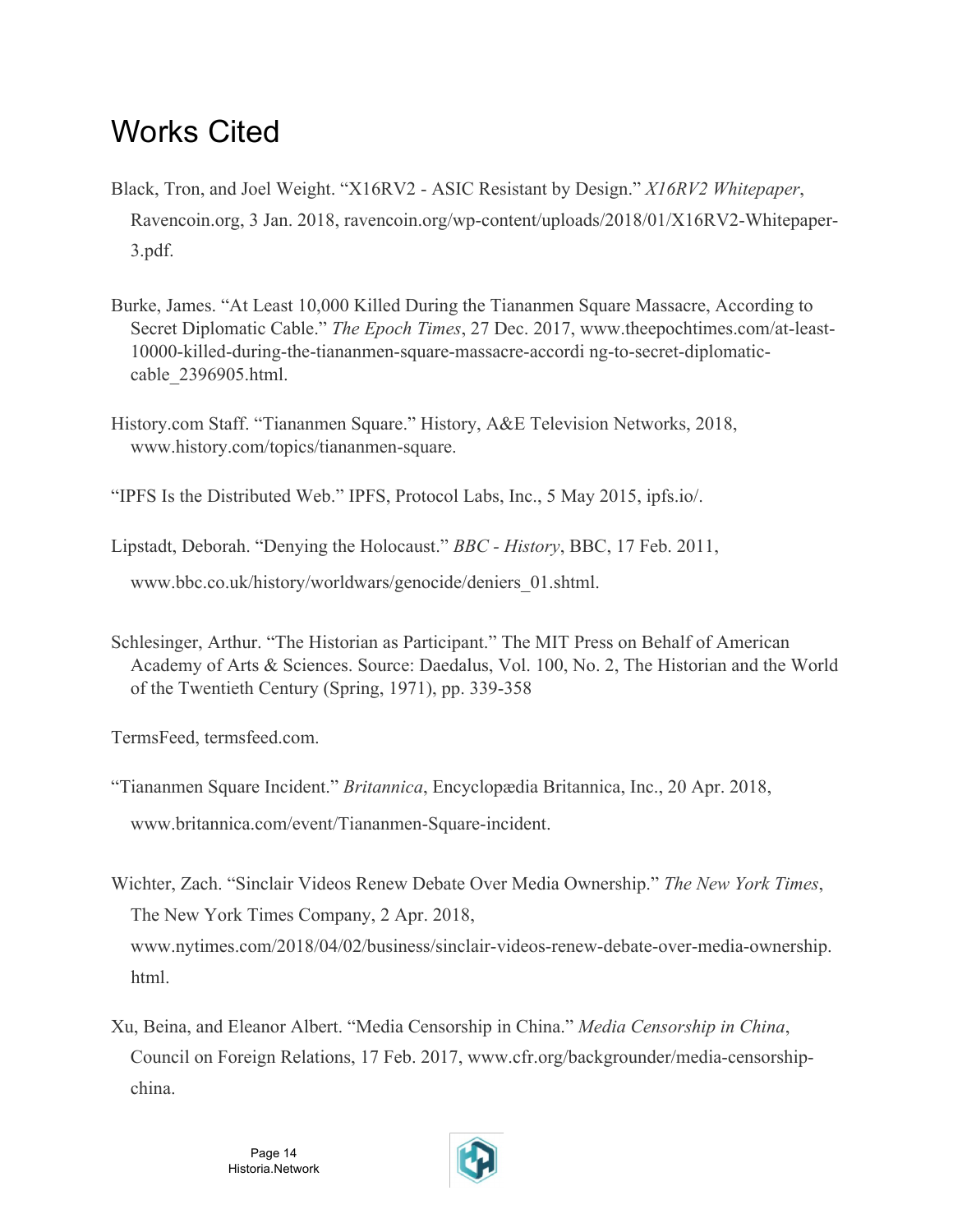# Works Cited

- Black, Tron, and Joel Weight. "X16RV2 ASIC Resistant by Design." *X16RV2 Whitepaper*, Ravencoin.org, 3 Jan. 2018, ravencoin.org/wp-content/uploads/2018/01/X16RV2-Whitepaper-3.pdf.
- Burke, James. "At Least 10,000 Killed During the Tiananmen Square Massacre, According to Secret Diplomatic Cable." *The Epoch Times*, 27 Dec. 2017, www.theepochtimes.com/at-least-10000-killed-during-the-tiananmen-square-massacre-accordi ng-to-secret-diplomaticcable\_2396905.html.
- History.com Staff. "Tiananmen Square." History, A&E Television Networks, 2018, www.history.com/topics/tiananmen-square.
- "IPFS Is the Distributed Web." IPFS, Protocol Labs, Inc., 5 May 2015, ipfs.io/.
- Lipstadt, Deborah. "Denying the Holocaust." *BBC - History*, BBC, 17 Feb. 2011,

www.bbc.co.uk/history/worldwars/genocide/deniers\_01.shtml.

Schlesinger, Arthur. "The Historian as Participant." The MIT Press on Behalf of American Academy of Arts & Sciences. Source: Daedalus, Vol. 100, No. 2, The Historian and the World of the Twentieth Century (Spring, 1971), pp. 339-358

TermsFeed, termsfeed.com.

- "Tiananmen Square Incident." *Britannica*, Encyclopædia Britannica, Inc., 20 Apr. 2018, www.britannica.com/event/Tiananmen-Square-incident.
- Wichter, Zach. "Sinclair Videos Renew Debate Over Media Ownership." *The New York Times*, The New York Times Company, 2 Apr. 2018, www.nytimes.com/2018/04/02/business/sinclair-videos-renew-debate-over-media-ownership. html.
- Xu, Beina, and Eleanor Albert. "Media Censorship in China." *Media Censorship in China*, Council on Foreign Relations, 17 Feb. 2017, www.cfr.org/backgrounder/media-censorshipchina.